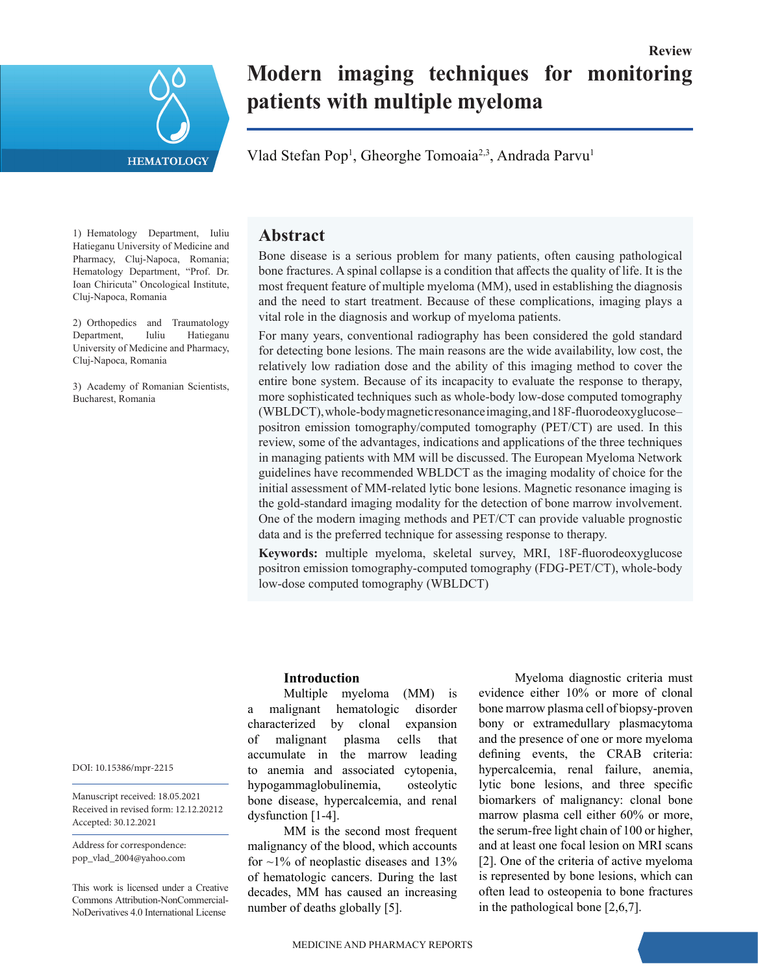

# **Modern imaging techniques for monitoring patients with multiple myeloma**

**Review**

Vlad Stefan Pop<sup>1</sup>, Gheorghe Tomoaia<sup>2,3</sup>, Andrada Parvu<sup>1</sup>

1) Hematology Department, Iuliu Hatieganu University of Medicine and Pharmacy, Cluj-Napoca, Romania; Hematology Department, "Prof. Dr. Ioan Chiricuta" Oncological Institute, Cluj-Napoca, Romania

2) Orthopedics and Traumatology Department, Iuliu Hatieganu University of Medicine and Pharmacy, Cluj-Napoca, Romania

3) Academy of Romanian Scientists, Bucharest, Romania

# **Abstract**

Bone disease is a serious problem for many patients, often causing pathological bone fractures. A spinal collapse is a condition that affects the quality of life. It is the most frequent feature of multiple myeloma (MM), used in establishing the diagnosis and the need to start treatment. Because of these complications, imaging plays a vital role in the diagnosis and workup of myeloma patients.

For many years, conventional radiography has been considered the gold standard for detecting bone lesions. The main reasons are the wide availability, low cost, the relatively low radiation dose and the ability of this imaging method to cover the entire bone system. Because of its incapacity to evaluate the response to therapy, more sophisticated techniques such as whole-body low-dose computed tomography (WBLDCT), whole-body magnetic resonance imaging, and 18F-fluorodeoxyglucose– positron emission tomography/computed tomography (PET/CT) are used. In this review, some of the advantages, indications and applications of the three techniques in managing patients with MM will be discussed. The European Myeloma Network guidelines have recommended WBLDCT as the imaging modality of choice for the initial assessment of MM-related lytic bone lesions. Magnetic resonance imaging is the gold-standard imaging modality for the detection of bone marrow involvement. One of the modern imaging methods and PET/CT can provide valuable prognostic data and is the preferred technique for assessing response to therapy.

**Keywords:** multiple myeloma, skeletal survey, MRI, 18F-fluorodeoxyglucose positron emission tomography-computed tomography (FDG-PET/CT), whole-body low-dose computed tomography (WBLDCT)

## **Introduction**

Multiple myeloma (MM) is a malignant hematologic disorder characterized by clonal expansion of malignant plasma cells that accumulate in the marrow leading to anemia and associated cytopenia, hypogammaglobulinemia, osteolytic bone disease, hypercalcemia, and renal dysfunction [1-4].

MM is the second most frequent malignancy of the blood, which accounts for  $\sim$ 1% of neoplastic diseases and 13% of hematologic cancers. During the last decades, MM has caused an increasing number of deaths globally [5].

Myeloma diagnostic criteria must evidence either 10% or more of clonal bone marrow plasma cell of biopsy-proven bony or extramedullary plasmacytoma and the presence of one or more myeloma defining events, the CRAB criteria: hypercalcemia, renal failure, anemia, lytic bone lesions, and three specific biomarkers of malignancy: clonal bone marrow plasma cell either 60% or more, the serum-free light chain of 100 or higher, and at least one focal lesion on MRI scans [2]. One of the criteria of active myeloma is represented by bone lesions, which can often lead to osteopenia to bone fractures in the pathological bone [2,6,7].

DOI: 10.15386/mpr-2215

Manuscript received: 18.05.2021 Received in revised form: 12.12.20212 Accepted: 30.12.2021

Address for correspondence: pop\_vlad\_2004@yahoo.com

This work is licensed under a Creative Commons Attribution-NonCommercial-NoDerivatives 4.0 International License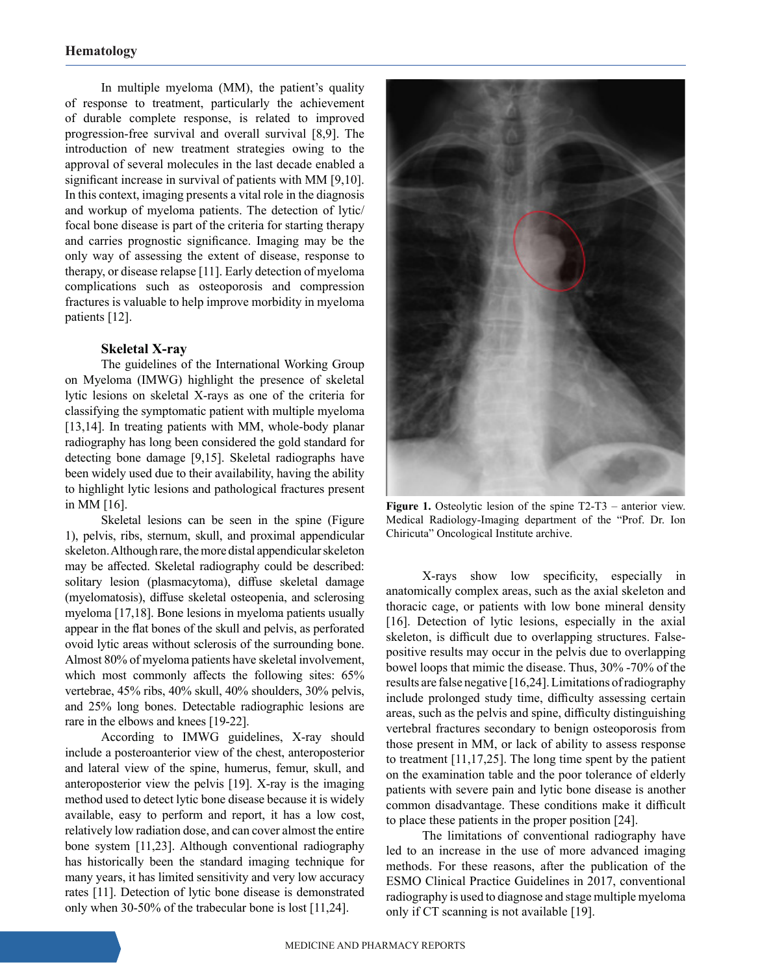In multiple myeloma (MM), the patient's quality of response to treatment, particularly the achievement of durable complete response, is related to improved progression-free survival and overall survival [8,9]. The introduction of new treatment strategies owing to the approval of several molecules in the last decade enabled a significant increase in survival of patients with MM [9,10]. In this context, imaging presents a vital role in the diagnosis and workup of myeloma patients. The detection of lytic/ focal bone disease is part of the criteria for starting therapy and carries prognostic significance. Imaging may be the only way of assessing the extent of disease, response to therapy, or disease relapse [11]. Early detection of myeloma complications such as osteoporosis and compression fractures is valuable to help improve morbidity in myeloma patients [12].

## **Skeletal X-ray**

The guidelines of the International Working Group on Myeloma (IMWG) highlight the presence of skeletal lytic lesions on skeletal X-rays as one of the criteria for classifying the symptomatic patient with multiple myeloma [13,14]. In treating patients with MM, whole-body planar radiography has long been considered the gold standard for detecting bone damage [9,15]. Skeletal radiographs have been widely used due to their availability, having the ability to highlight lytic lesions and pathological fractures present in MM [16].

Skeletal lesions can be seen in the spine (Figure 1), pelvis, ribs, sternum, skull, and proximal appendicular skeleton. Although rare, the more distal appendicular skeleton may be affected. Skeletal radiography could be described: solitary lesion (plasmacytoma), diffuse skeletal damage (myelomatosis), diffuse skeletal osteopenia, and sclerosing myeloma [17,18]. Bone lesions in myeloma patients usually appear in the flat bones of the skull and pelvis, as perforated ovoid lytic areas without sclerosis of the surrounding bone. Almost 80% of myeloma patients have skeletal involvement, which most commonly affects the following sites: 65% vertebrae, 45% ribs, 40% skull, 40% shoulders, 30% pelvis, and 25% long bones. Detectable radiographic lesions are rare in the elbows and knees [19-22].

According to IMWG guidelines, X-ray should include a posteroanterior view of the chest, anteroposterior and lateral view of the spine, humerus, femur, skull, and anteroposterior view the pelvis [19]. X-ray is the imaging method used to detect lytic bone disease because it is widely available, easy to perform and report, it has a low cost, relatively low radiation dose, and can cover almost the entire bone system [11,23]. Although conventional radiography has historically been the standard imaging technique for many years, it has limited sensitivity and very low accuracy rates [11]. Detection of lytic bone disease is demonstrated only when 30-50% of the trabecular bone is lost [11,24].



Figure 1. Osteolytic lesion of the spine T2-T3 – anterior view. Medical Radiology-Imaging department of the "Prof. Dr. Ion Chiricuta" Oncological Institute archive.

X-rays show low specificity, especially in anatomically complex areas, such as the axial skeleton and thoracic cage, or patients with low bone mineral density [16]. Detection of lytic lesions, especially in the axial skeleton, is difficult due to overlapping structures. Falsepositive results may occur in the pelvis due to overlapping bowel loops that mimic the disease. Thus, 30% -70% of the results are false negative [16,24]. Limitations of radiography include prolonged study time, difficulty assessing certain areas, such as the pelvis and spine, difficulty distinguishing vertebral fractures secondary to benign osteoporosis from those present in MM, or lack of ability to assess response to treatment [11,17,25]. The long time spent by the patient on the examination table and the poor tolerance of elderly patients with severe pain and lytic bone disease is another common disadvantage. These conditions make it difficult to place these patients in the proper position [24].

The limitations of conventional radiography have led to an increase in the use of more advanced imaging methods. For these reasons, after the publication of the ESMO Clinical Practice Guidelines in 2017, conventional radiography is used to diagnose and stage multiple myeloma only if CT scanning is not available [19].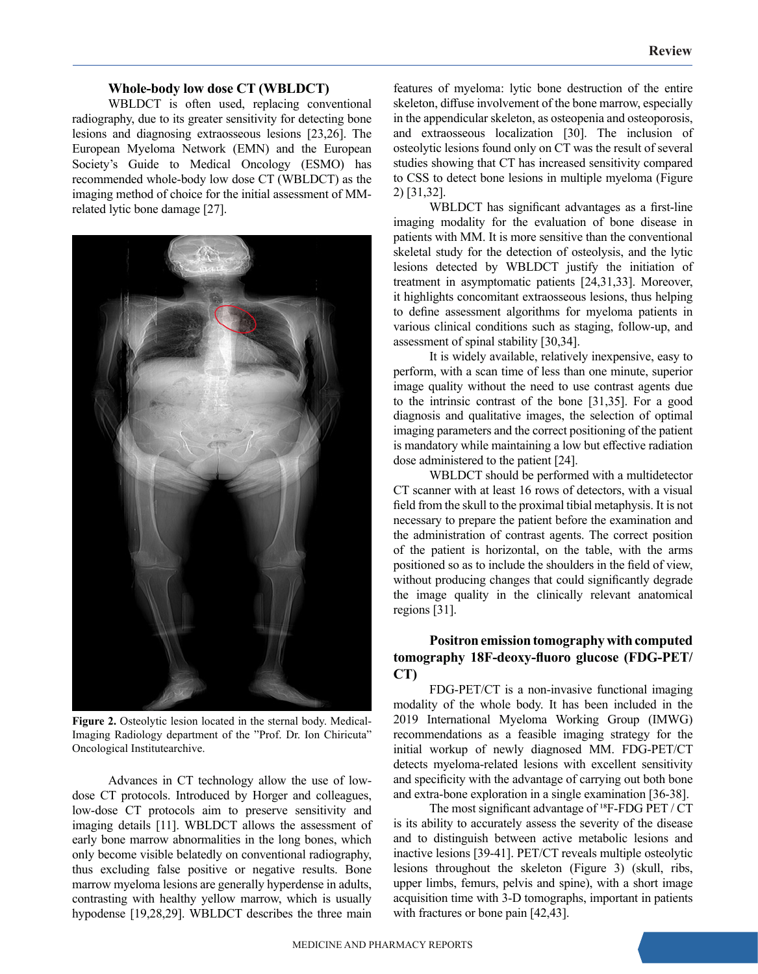#### **Whole-body low dose CT (WBLDCT)**

WBLDCT is often used, replacing conventional radiography, due to its greater sensitivity for detecting bone lesions and diagnosing extraosseous lesions [23,26]. The European Myeloma Network (EMN) and the European Society's Guide to Medical Oncology (ESMO) has recommended whole-body low dose CT (WBLDCT) as the imaging method of choice for the initial assessment of MMrelated lytic bone damage [27].



**Figure 2.** Osteolytic lesion located in the sternal body. Medical-Imaging Radiology department of the "Prof. Dr. Ion Chiricuta" Oncological Institutearchive.

Advances in CT technology allow the use of lowdose CT protocols. Introduced by Horger and colleagues, low-dose CT protocols aim to preserve sensitivity and imaging details [11]. WBLDCT allows the assessment of early bone marrow abnormalities in the long bones, which only become visible belatedly on conventional radiography, thus excluding false positive or negative results. Bone marrow myeloma lesions are generally hyperdense in adults, contrasting with healthy yellow marrow, which is usually hypodense [19,28,29]. WBLDCT describes the three main

features of myeloma: lytic bone destruction of the entire skeleton, diffuse involvement of the bone marrow, especially in the appendicular skeleton, as osteopenia and osteoporosis, and extraosseous localization [30]. The inclusion of osteolytic lesions found only on CT was the result of several studies showing that CT has increased sensitivity compared to CSS to detect bone lesions in multiple myeloma (Figure 2) [31,32].

WBLDCT has significant advantages as a first-line imaging modality for the evaluation of bone disease in patients with MM. It is more sensitive than the conventional skeletal study for the detection of osteolysis, and the lytic lesions detected by WBLDCT justify the initiation of treatment in asymptomatic patients [24,31,33]. Moreover, it highlights concomitant extraosseous lesions, thus helping to define assessment algorithms for myeloma patients in various clinical conditions such as staging, follow-up, and assessment of spinal stability [30,34].

It is widely available, relatively inexpensive, easy to perform, with a scan time of less than one minute, superior image quality without the need to use contrast agents due to the intrinsic contrast of the bone [31,35]. For a good diagnosis and qualitative images, the selection of optimal imaging parameters and the correct positioning of the patient is mandatory while maintaining a low but effective radiation dose administered to the patient [24].

WBLDCT should be performed with a multidetector CT scanner with at least 16 rows of detectors, with a visual field from the skull to the proximal tibial metaphysis. It is not necessary to prepare the patient before the examination and the administration of contrast agents. The correct position of the patient is horizontal, on the table, with the arms positioned so as to include the shoulders in the field of view, without producing changes that could significantly degrade the image quality in the clinically relevant anatomical regions [31].

# **Positron emission tomography with computed tomography 18F‐deoxy-fluoro glucose (FDG‐PET/ CT)**

FDG-PET/CT is a non-invasive functional imaging modality of the whole body. It has been included in the 2019 International Myeloma Working Group (IMWG) recommendations as a feasible imaging strategy for the initial workup of newly diagnosed MM. FDG‐PET/CT detects myeloma-related lesions with excellent sensitivity and specificity with the advantage of carrying out both bone and extra‐bone exploration in a single examination [36-38].

The most significant advantage of  $^{18}F$ -FDG PET / CT is its ability to accurately assess the severity of the disease and to distinguish between active metabolic lesions and inactive lesions [39-41]. PET/CT reveals multiple osteolytic lesions throughout the skeleton (Figure 3) (skull, ribs, upper limbs, femurs, pelvis and spine), with a short image acquisition time with 3-D tomographs, important in patients with fractures or bone pain [42,43].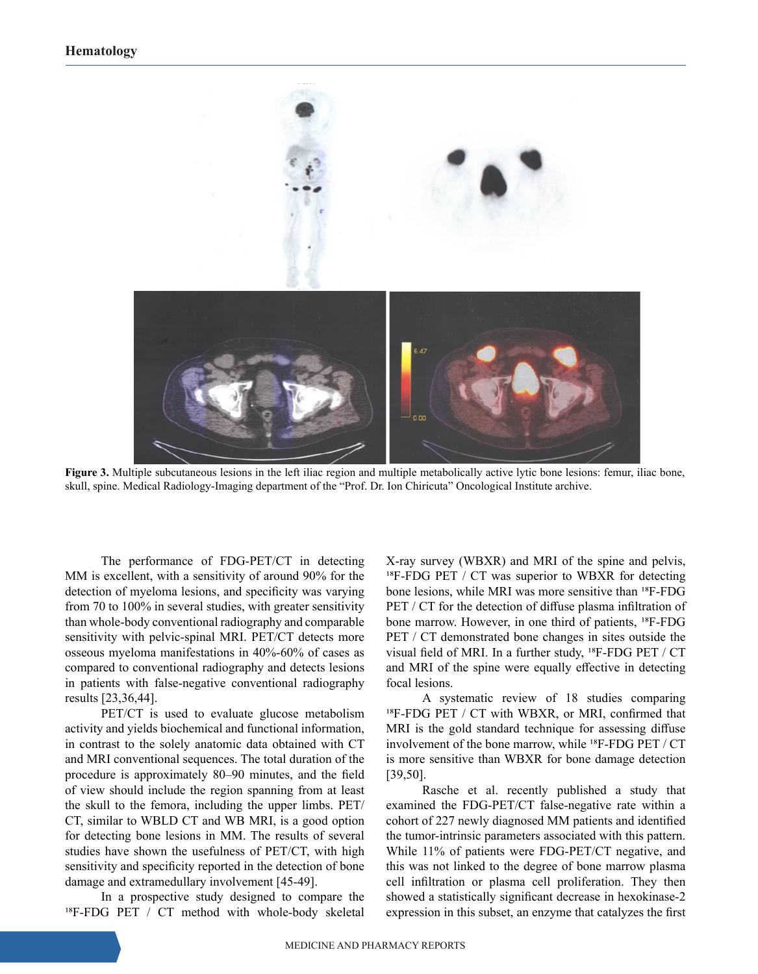

**Figure 3.** Multiple subcutaneous lesions in the left iliac region and multiple metabolically active lytic bone lesions: femur, iliac bone, skull, spine. Medical Radiology-Imaging department of the "Prof. Dr. Ion Chiricuta" Oncological Institute archive.

The performance of FDG-PET/CT in detecting MM is excellent, with a sensitivity of around 90% for the detection of myeloma lesions, and specificity was varying from 70 to 100% in several studies, with greater sensitivity than whole‐body conventional radiography and comparable sensitivity with pelvic-spinal MRI. PET/CT detects more osseous myeloma manifestations in 40%-60% of cases as compared to conventional radiography and detects lesions in patients with false-negative conventional radiography results [23,36,44].

PET/CT is used to evaluate glucose metabolism activity and yields biochemical and functional information, in contrast to the solely anatomic data obtained with CT and MRI conventional sequences. The total duration of the procedure is approximately 80–90 minutes, and the field of view should include the region spanning from at least the skull to the femora, including the upper limbs. PET/ CT, similar to WBLD CT and WB MRI, is a good option for detecting bone lesions in MM. The results of several studies have shown the usefulness of PET/CT, with high sensitivity and specificity reported in the detection of bone damage and extramedullary involvement [45-49].

In a prospective study designed to compare the  $^{18}$ F-FDG PET / CT method with whole-body skeletal X-ray survey (WBXR) and MRI of the spine and pelvis,  $^{18}$ F-FDG PET / CT was superior to WBXR for detecting bone lesions, while MRI was more sensitive than <sup>18</sup>F-FDG PET / CT for the detection of diffuse plasma infiltration of bone marrow. However, in one third of patients, <sup>18</sup>F-FDG PET / CT demonstrated bone changes in sites outside the visual field of MRI. In a further study, <sup>18</sup>F-FDG PET / CT and MRI of the spine were equally effective in detecting focal lesions.

A systematic review of 18 studies comparing <sup>18</sup>F-FDG PET / CT with WBXR, or MRI, confirmed that MRI is the gold standard technique for assessing diffuse involvement of the bone marrow, while <sup>18</sup>F-FDG PET / CT is more sensitive than WBXR for bone damage detection [39,50].

Rasche et al. recently published a study that examined the FDG-PET/CT false-negative rate within a cohort of 227 newly diagnosed MM patients and identified the tumor-intrinsic parameters associated with this pattern. While 11% of patients were FDG-PET/CT negative, and this was not linked to the degree of bone marrow plasma cell infiltration or plasma cell proliferation. They then showed a statistically significant decrease in hexokinase-2 expression in this subset, an enzyme that catalyzes the first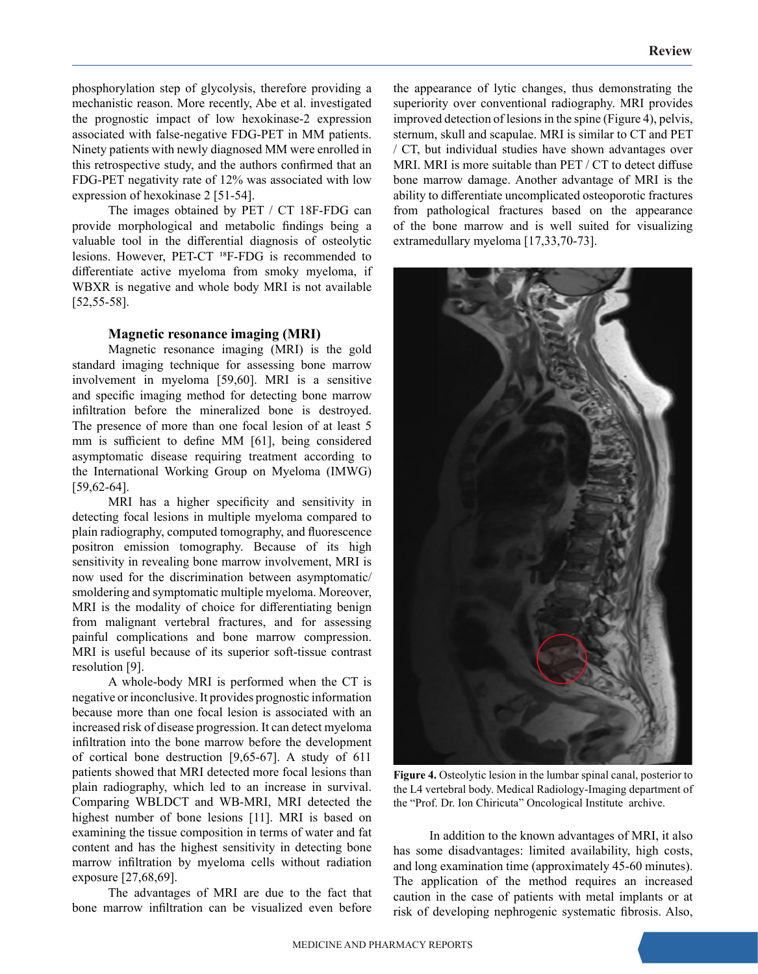phosphorylation step of glycolysis, therefore providing a mechanistic reason. More recently, Abe et al. investigated the prognostic impact of low hexokinase-2 expression associated with false-negative FDG-PET in MM patients. Ninety patients with newly diagnosed MM were enrolled in this retrospective study, and the authors confirmed that an FDG-PET negativity rate of 12% was associated with low expression of hexokinase 2 [51-54].

The images obtained by PET / CT 18F-FDG can provide morphological and metabolic findings being a valuable tool in the differential diagnosis of osteolytic lesions. However, PET-CT <sup>18</sup>F-FDG is recommended to differentiate active myeloma from smoky myeloma, if WBXR is negative and whole body MRI is not available [52,55-58].

#### **Magnetic resonance imaging (MRI)**

Magnetic resonance imaging (MRI) is the gold standard imaging technique for assessing bone marrow involvement in myeloma [59,60]. MRI is a sensitive and specific imaging method for detecting bone marrow infiltration before the mineralized bone is destroyed. The presence of more than one focal lesion of at least 5 mm is sufficient to define MM [61], being considered asymptomatic disease requiring treatment according to the International Working Group on Myeloma (IMWG) [59,62-64].

MRI has a higher specificity and sensitivity in detecting focal lesions in multiple myeloma compared to plain radiography, computed tomography, and fluorescence positron emission tomography. Because of its high sensitivity in revealing bone marrow involvement, MRI is now used for the discrimination between asymptomatic/ smoldering and symptomatic multiple myeloma. Moreover, MRI is the modality of choice for differentiating benign from malignant vertebral fractures, and for assessing painful complications and bone marrow compression. MRI is useful because of its superior soft-tissue contrast resolution [9].

A whole-body MRI is performed when the CT is negative or inconclusive. It provides prognostic information because more than one focal lesion is associated with an increased risk of disease progression. It can detect myeloma infiltration into the bone marrow before the development of cortical bone destruction [9,65-67]. A study of 611 patients showed that MRI detected more focal lesions than plain radiography, which led to an increase in survival. Comparing WBLDCT and WB-MRI, MRI detected the highest number of bone lesions [11]. MRI is based on examining the tissue composition in terms of water and fat content and has the highest sensitivity in detecting bone marrow infiltration by myeloma cells without radiation exposure [27,68,69].

The advantages of MRI are due to the fact that bone marrow infiltration can be visualized even before

the appearance of lytic changes, thus demonstrating the superiority over conventional radiography. MRI provides improved detection of lesions in the spine (Figure 4), pelvis, sternum, skull and scapulae. MRI is similar to CT and PET / CT, but individual studies have shown advantages over MRI. MRI is more suitable than PET / CT to detect diffuse bone marrow damage. Another advantage of MRI is the ability to differentiate uncomplicated osteoporotic fractures from pathological fractures based on the appearance of the bone marrow and is well suited for visualizing extramedullary myeloma [17,33,70-73].



**Figure 4.** Osteolytic lesion in the lumbar spinal canal, posterior to the L4 vertebral body. Medical Radiology-Imaging department of the "Prof. Dr. Ion Chiricuta" Oncological Institute archive.

In addition to the known advantages of MRI, it also has some disadvantages: limited availability, high costs, and long examination time (approximately 45-60 minutes). The application of the method requires an increased caution in the case of patients with metal implants or at risk of developing nephrogenic systematic fibrosis. Also,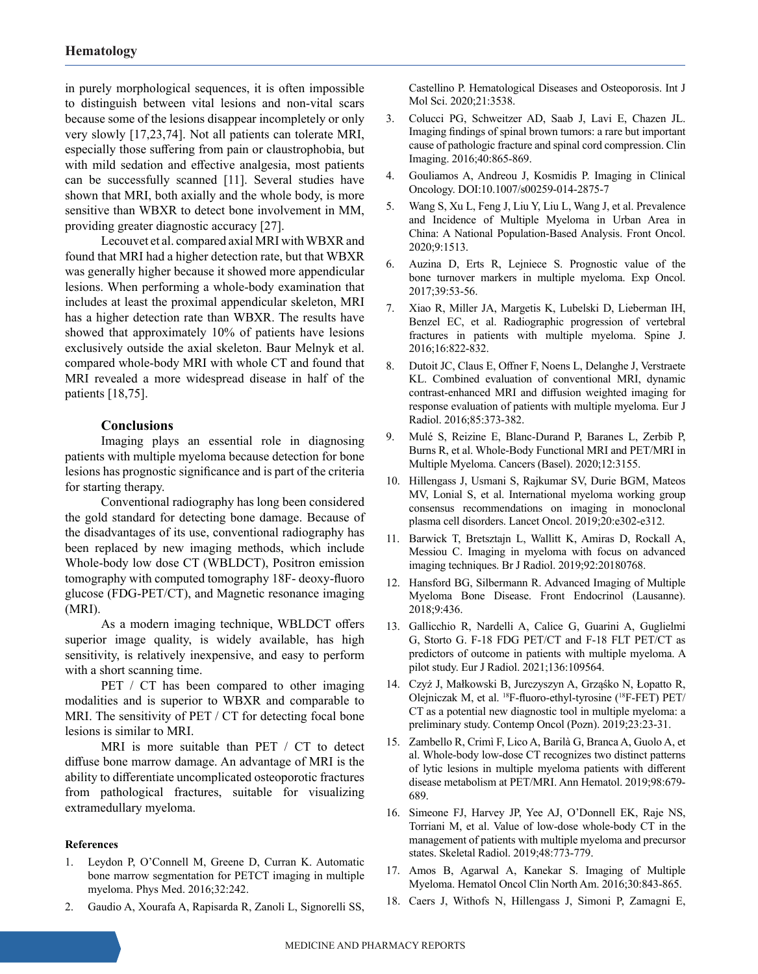in purely morphological sequences, it is often impossible to distinguish between vital lesions and non-vital scars because some of the lesions disappear incompletely or only very slowly [17,23,74]. Not all patients can tolerate MRI, especially those suffering from pain or claustrophobia, but with mild sedation and effective analgesia, most patients can be successfully scanned [11]. Several studies have shown that MRI, both axially and the whole body, is more sensitive than WBXR to detect bone involvement in MM, providing greater diagnostic accuracy [27].

Lecouvet et al. compared axial MRI with WBXR and found that MRI had a higher detection rate, but that WBXR was generally higher because it showed more appendicular lesions. When performing a whole-body examination that includes at least the proximal appendicular skeleton, MRI has a higher detection rate than WBXR. The results have showed that approximately 10% of patients have lesions exclusively outside the axial skeleton. Baur Melnyk et al. compared whole-body MRI with whole CT and found that MRI revealed a more widespread disease in half of the patients [18,75].

## **Conclusions**

Imaging plays an essential role in diagnosing patients with multiple myeloma because detection for bone lesions has prognostic significance and is part of the criteria for starting therapy.

Conventional radiography has long been considered the gold standard for detecting bone damage. Because of the disadvantages of its use, conventional radiography has been replaced by new imaging methods, which include Whole-body low dose CT (WBLDCT), Positron emission tomography with computed tomography 18F‐ deoxy-fluoro glucose (FDG‐PET/CT), and Magnetic resonance imaging (MRI).

As a modern imaging technique, WBLDCT offers superior image quality, is widely available, has high sensitivity, is relatively inexpensive, and easy to perform with a short scanning time.

PET / CT has been compared to other imaging modalities and is superior to WBXR and comparable to MRI. The sensitivity of PET / CT for detecting focal bone lesions is similar to MRI.

MRI is more suitable than PET / CT to detect diffuse bone marrow damage. An advantage of MRI is the ability to differentiate uncomplicated osteoporotic fractures from pathological fractures, suitable for visualizing extramedullary myeloma.

#### **References**

- 1. Leydon P, O'Connell M, Greene D, Curran K. Automatic bone marrow segmentation for PETCT imaging in multiple myeloma. Phys Med. 2016;32:242.
- 2. Gaudio A, Xourafa A, Rapisarda R, Zanoli L, Signorelli SS,

Castellino P. Hematological Diseases and Osteoporosis. Int J Mol Sci. 2020;21:3538.

- 3. Colucci PG, Schweitzer AD, Saab J, Lavi E, Chazen JL. Imaging findings of spinal brown tumors: a rare but important cause of pathologic fracture and spinal cord compression. Clin Imaging. 2016;40:865-869.
- 4. Gouliamos A, Andreou J, Kosmidis P. Imaging in Clinical Oncology. DOI:10.1007/s00259-014-2875-7
- 5. Wang S, Xu L, Feng J, Liu Y, Liu L, Wang J, et al. Prevalence and Incidence of Multiple Myeloma in Urban Area in China: A National Population-Based Analysis. Front Oncol. 2020;9:1513.
- 6. Auzina D, Erts R, Lejniece S. Prognostic value of the bone turnover markers in multiple myeloma. Exp Oncol. 2017;39:53-56.
- 7. Xiao R, Miller JA, Margetis K, Lubelski D, Lieberman IH, Benzel EC, et al. Radiographic progression of vertebral fractures in patients with multiple myeloma. Spine J. 2016;16:822-832.
- 8. Dutoit JC, Claus E, Offner F, Noens L, Delanghe J, Verstraete KL. Combined evaluation of conventional MRI, dynamic contrast-enhanced MRI and diffusion weighted imaging for response evaluation of patients with multiple myeloma. Eur J Radiol. 2016;85:373-382.
- 9. Mulé S, Reizine E, Blanc-Durand P, Baranes L, Zerbib P, Burns R, et al. Whole-Body Functional MRI and PET/MRI in Multiple Myeloma. Cancers (Basel). 2020;12:3155.
- 10. Hillengass J, Usmani S, Rajkumar SV, Durie BGM, Mateos MV, Lonial S, et al. International myeloma working group consensus recommendations on imaging in monoclonal plasma cell disorders. Lancet Oncol. 2019;20:e302-e312.
- 11. Barwick T, Bretsztajn L, Wallitt K, Amiras D, Rockall A, Messiou C. Imaging in myeloma with focus on advanced imaging techniques. Br J Radiol. 2019;92:20180768.
- 12. Hansford BG, Silbermann R. Advanced Imaging of Multiple Myeloma Bone Disease. Front Endocrinol (Lausanne). 2018;9:436.
- 13. Gallicchio R, Nardelli A, Calice G, Guarini A, Guglielmi G, Storto G. F-18 FDG PET/CT and F-18 FLT PET/CT as predictors of outcome in patients with multiple myeloma. A pilot study. Eur J Radiol. 2021;136:109564.
- 14. Czyż J, Małkowski B, Jurczyszyn A, Grząśko N, Łopatto R, Olejniczak M, et al. 18F-fluoro-ethyl-tyrosine (18F-FET) PET/ CT as a potential new diagnostic tool in multiple myeloma: a preliminary study. Contemp Oncol (Pozn). 2019;23:23-31.
- 15. Zambello R, Crimì F, Lico A, Barilà G, Branca A, Guolo A, et al. Whole-body low-dose CT recognizes two distinct patterns of lytic lesions in multiple myeloma patients with different disease metabolism at PET/MRI. Ann Hematol. 2019;98:679- 689.
- 16. Simeone FJ, Harvey JP, Yee AJ, O'Donnell EK, Raje NS, Torriani M, et al. Value of low-dose whole-body CT in the management of patients with multiple myeloma and precursor states. Skeletal Radiol. 2019;48:773-779.
- 17. Amos B, Agarwal A, Kanekar S. Imaging of Multiple Myeloma. Hematol Oncol Clin North Am. 2016;30:843-865.
- 18. Caers J, Withofs N, Hillengass J, Simoni P, Zamagni E,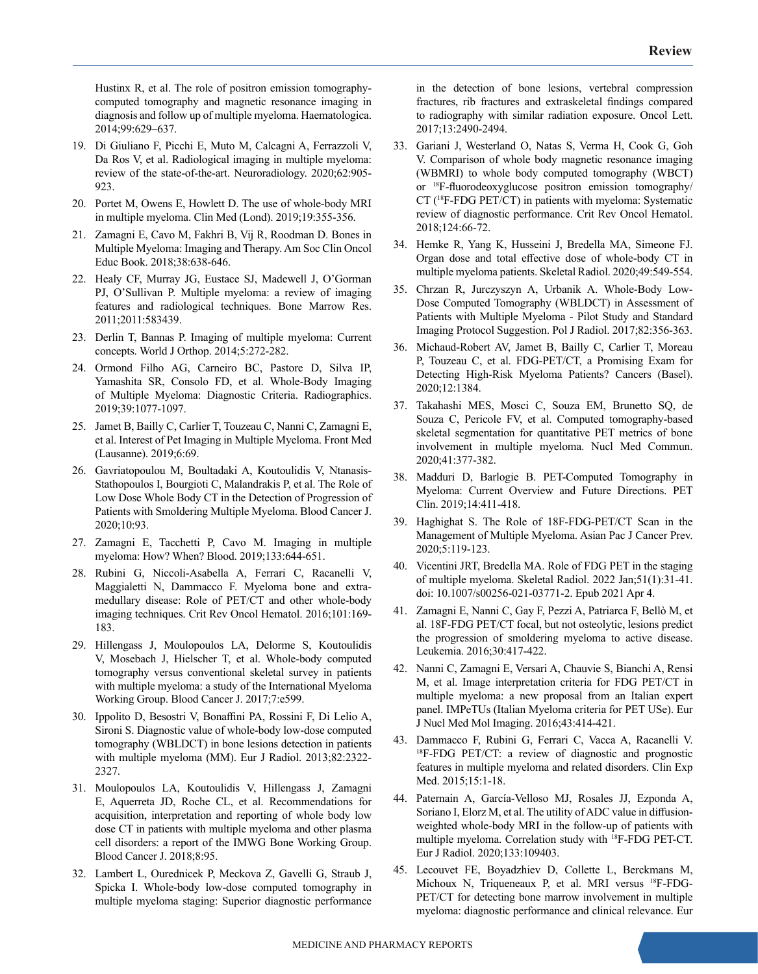Hustinx R, et al. The role of positron emission tomographycomputed tomography and magnetic resonance imaging in diagnosis and follow up of multiple myeloma. Haematologica. 2014;99:629–637.

- 19. Di Giuliano F, Picchi E, Muto M, Calcagni A, Ferrazzoli V, Da Ros V, et al. Radiological imaging in multiple myeloma: review of the state-of-the-art. Neuroradiology. 2020;62:905- 923.
- 20. Portet M, Owens E, Howlett D. The use of whole-body MRI in multiple myeloma. Clin Med (Lond). 2019;19:355-356.
- 21. Zamagni E, Cavo M, Fakhri B, Vij R, Roodman D. Bones in Multiple Myeloma: Imaging and Therapy. Am Soc Clin Oncol Educ Book. 2018;38:638-646.
- 22. Healy CF, Murray JG, Eustace SJ, Madewell J, O'Gorman PJ, O'Sullivan P. Multiple myeloma: a review of imaging features and radiological techniques. Bone Marrow Res. 2011;2011:583439.
- 23. Derlin T, Bannas P. Imaging of multiple myeloma: Current concepts. World J Orthop. 2014;5:272-282.
- 24. Ormond Filho AG, Carneiro BC, Pastore D, Silva IP, Yamashita SR, Consolo FD, et al. Whole-Body Imaging of Multiple Myeloma: Diagnostic Criteria. Radiographics. 2019;39:1077-1097.
- 25. Jamet B, Bailly C, Carlier T, Touzeau C, Nanni C, Zamagni E, et al. Interest of Pet Imaging in Multiple Myeloma. Front Med (Lausanne). 2019;6:69.
- 26. Gavriatopoulou M, Βoultadaki A, Koutoulidis V, Ntanasis-Stathopoulos I, Bourgioti C, Malandrakis P, et al. The Role of Low Dose Whole Body CT in the Detection of Progression of Patients with Smoldering Multiple Myeloma. Blood Cancer J. 2020;10:93.
- 27. Zamagni E, Tacchetti P, Cavo M. Imaging in multiple myeloma: How? When? Blood. 2019;133:644-651.
- 28. Rubini G, Niccoli-Asabella A, Ferrari C, Racanelli V, Maggialetti N, Dammacco F. Myeloma bone and extramedullary disease: Role of PET/CT and other whole-body imaging techniques. Crit Rev Oncol Hematol. 2016;101:169- 183.
- 29. Hillengass J, Moulopoulos LA, Delorme S, Koutoulidis V, Mosebach J, Hielscher T, et al. Whole-body computed tomography versus conventional skeletal survey in patients with multiple myeloma: a study of the International Myeloma Working Group. Blood Cancer J. 2017;7:e599.
- 30. Ippolito D, Besostri V, Bonaffini PA, Rossini F, Di Lelio A, Sironi S. Diagnostic value of whole-body low-dose computed tomography (WBLDCT) in bone lesions detection in patients with multiple myeloma (MM). Eur J Radiol. 2013;82:2322- 2327.
- 31. Moulopoulos LA, Koutoulidis V, Hillengass J, Zamagni E, Aquerreta JD, Roche CL, et al. Recommendations for acquisition, interpretation and reporting of whole body low dose CT in patients with multiple myeloma and other plasma cell disorders: a report of the IMWG Bone Working Group. Blood Cancer J. 2018;8:95.
- 32. Lambert L, Ourednicek P, Meckova Z, Gavelli G, Straub J, Spicka I. Whole-body low-dose computed tomography in multiple myeloma staging: Superior diagnostic performance

in the detection of bone lesions, vertebral compression fractures, rib fractures and extraskeletal findings compared to radiography with similar radiation exposure. Oncol Lett. 2017;13:2490-2494.

- 33. Gariani J, Westerland O, Natas S, Verma H, Cook G, Goh V. Comparison of whole body magnetic resonance imaging (WBMRI) to whole body computed tomography (WBCT) or 18F-fluorodeoxyglucose positron emission tomography/ CT (18F-FDG PET/CT) in patients with myeloma: Systematic review of diagnostic performance. Crit Rev Oncol Hematol. 2018;124:66-72.
- 34. Hemke R, Yang K, Husseini J, Bredella MA, Simeone FJ. Organ dose and total effective dose of whole-body CT in multiple myeloma patients. Skeletal Radiol. 2020;49:549-554.
- 35. Chrzan R, Jurczyszyn A, Urbanik A. Whole-Body Low-Dose Computed Tomography (WBLDCT) in Assessment of Patients with Multiple Myeloma - Pilot Study and Standard Imaging Protocol Suggestion. Pol J Radiol. 2017;82:356-363.
- 36. Michaud-Robert AV, Jamet B, Bailly C, Carlier T, Moreau P, Touzeau C, et al. FDG-PET/CT, a Promising Exam for Detecting High-Risk Myeloma Patients? Cancers (Basel). 2020;12:1384.
- 37. Takahashi MES, Mosci C, Souza EM, Brunetto SQ, de Souza C, Pericole FV, et al. Computed tomography-based skeletal segmentation for quantitative PET metrics of bone involvement in multiple myeloma. Nucl Med Commun. 2020;41:377-382.
- 38. Madduri D, Barlogie B. PET-Computed Tomography in Myeloma: Current Overview and Future Directions. PET Clin. 2019;14:411-418.
- 39. Haghighat S. The Role of 18F-FDG-PET/CT Scan in the Management of Multiple Myeloma. Asian Pac J Cancer Prev. 2020;5:119-123.
- 40. Vicentini JRT, Bredella MA. Role of FDG PET in the staging of multiple myeloma. Skeletal Radiol. 2022 Jan;51(1):31-41. doi: 10.1007/s00256-021-03771-2. Epub 2021 Apr 4.
- 41. Zamagni E, Nanni C, Gay F, Pezzi A, Patriarca F, Bellò M, et al. 18F-FDG PET/CT focal, but not osteolytic, lesions predict the progression of smoldering myeloma to active disease. Leukemia. 2016;30:417-422.
- 42. Nanni C, Zamagni E, Versari A, Chauvie S, Bianchi A, Rensi M, et al. Image interpretation criteria for FDG PET/CT in multiple myeloma: a new proposal from an Italian expert panel. IMPeTUs (Italian Myeloma criteria for PET USe). Eur J Nucl Med Mol Imaging. 2016;43:414-421.
- 43. Dammacco F, Rubini G, Ferrari C, Vacca A, Racanelli V. <sup>18</sup>F-FDG PET/CT: a review of diagnostic and prognostic features in multiple myeloma and related disorders. Clin Exp Med. 2015;15:1-18.
- 44. Paternain A, García-Velloso MJ, Rosales JJ, Ezponda A, Soriano I, Elorz M, et al. The utility of ADC value in diffusionweighted whole-body MRI in the follow-up of patients with multiple myeloma. Correlation study with 18F-FDG PET-CT. Eur J Radiol. 2020;133:109403.
- 45. Lecouvet FE, Boyadzhiev D, Collette L, Berckmans M, Michoux N, Triqueneaux P, et al. MRI versus 18F-FDG-PET/CT for detecting bone marrow involvement in multiple myeloma: diagnostic performance and clinical relevance. Eur